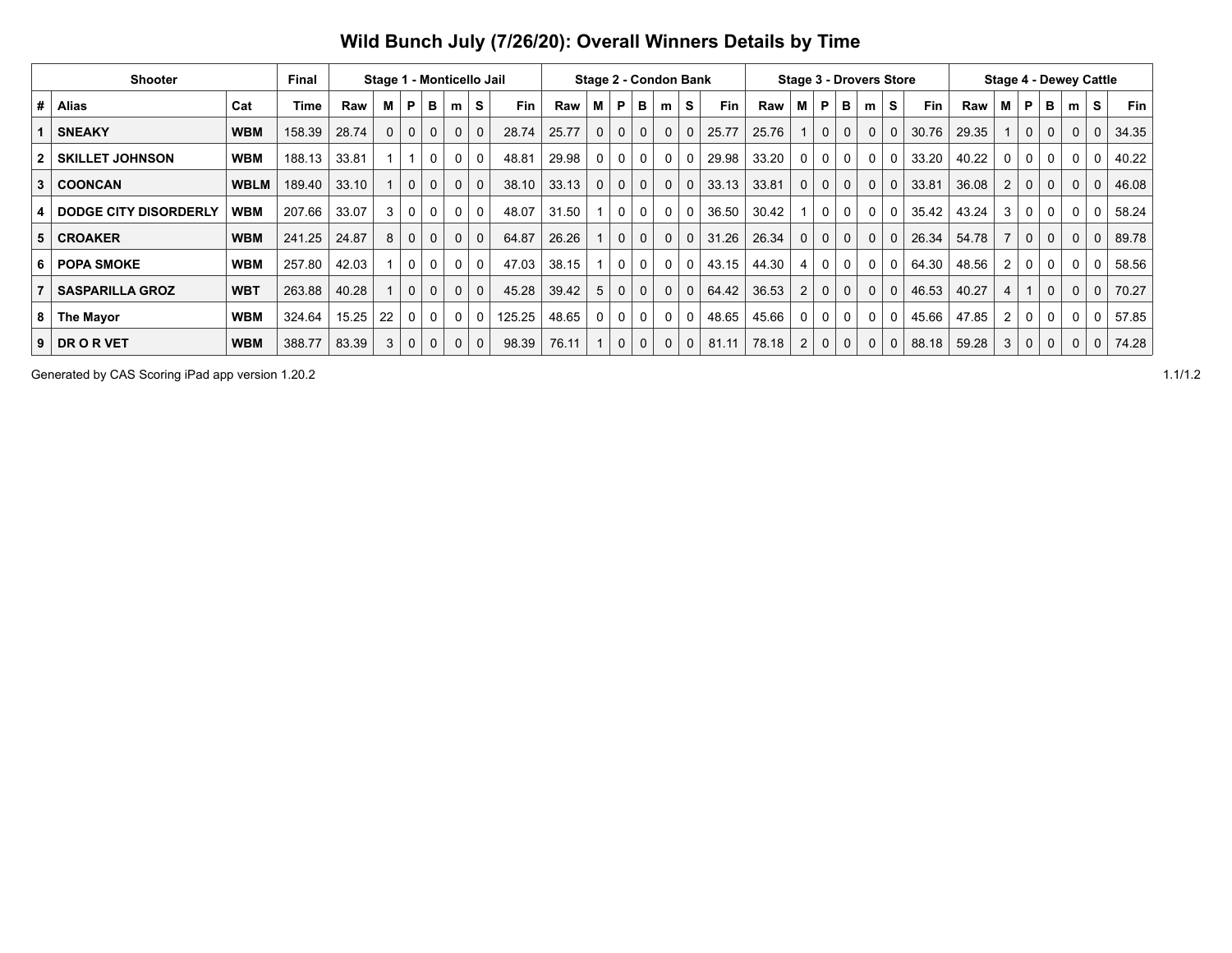|  | Wild Bunch July (7/26/20): Overall Winners Details by Time |  |
|--|------------------------------------------------------------|--|
|  |                                                            |  |

| <b>Shooter</b><br><b>Final</b> |                        |             |        |       | Stage 1 - Monticello Jail |              |              |             |              | Stage 2 - Condon Bank |       |          |                |              |             | <b>Stage 3 - Drovers Store</b> |            | <b>Stage 4 - Dewey Cattle</b> |                |                |              |              |              |       |       |                |              |             |              |                |            |
|--------------------------------|------------------------|-------------|--------|-------|---------------------------|--------------|--------------|-------------|--------------|-----------------------|-------|----------|----------------|--------------|-------------|--------------------------------|------------|-------------------------------|----------------|----------------|--------------|--------------|--------------|-------|-------|----------------|--------------|-------------|--------------|----------------|------------|
| #                              | <b>Alias</b>           | Cat         | Time   | Raw   | М                         | P            | в            | m           | S            | <b>Fin</b>            | Raw   |          | P              | в            | m           | S.                             | <b>Fin</b> | Raw                           | м              | P              | в            | m            | S            | Fin   | Raw   | м              | P            | в           | m            | S              | <b>Fin</b> |
|                                | <b>SNEAKY</b>          | <b>WBM</b>  | 158.39 | 28.74 | 0                         | $\mathbf 0$  | $\mathbf{0}$ | $\mathbf 0$ | $\mathbf{0}$ | 28.74                 | 25.77 | $\Omega$ | $\mathbf 0$    | $\mathbf 0$  | $\Omega$    | $\Omega$                       | 25.77      | 25.76                         |                | $\mathbf{0}$   | $\mathbf{0}$ | 0            | $\Omega$     | 30.76 | 29.35 |                | 0            |             | $\mathbf{0}$ | 0 <sup>1</sup> | 34.35      |
|                                | <b>SKILLET JOHNSON</b> | <b>WBM</b>  | 188.13 | 33.81 |                           |              | $\Omega$     | 0           | $\mathbf{0}$ | 48.81                 | 29.98 | $\Omega$ | $\Omega$       | $\mathbf 0$  | $\Omega$    |                                | 29.98      | 33.20                         | $\mathbf{0}$   | $\mathbf{0}$   | 0            | 0            | $\Omega$     | 33.20 | 40.22 | 0              |              |             | $\Omega$     | $\Omega$       | 40.22      |
| 3                              | <b>COONCAN</b>         | <b>WBLM</b> | 189.40 | 33.10 |                           | $\mathbf 0$  | $\Omega$     | $\mathbf 0$ | $\mathbf{0}$ | 38.10                 | 33.13 | $\Omega$ | $\mathbf{0}$   | $\mathbf{0}$ | $\mathbf 0$ | $\Omega$                       | 33.13      | 33.81                         | $\mathbf 0$    | $\mathbf{0}$   | $\mathbf{0}$ | 0            | $\Omega$     | 33.81 | 36.08 | $\overline{2}$ | 0            | $\mathbf 0$ | $\mathbf 0$  | $\mathbf{0}$   | 46.08      |
|                                | DODGE CITY DISORDERLY  | WBM         | 207.66 | 33.07 | 3                         | $\Omega$     | $\Omega$     | 0           | $\Omega$     | 48.07                 | 31.50 |          | $\Omega$       | $\mathbf 0$  | $\Omega$    |                                | 36.50      | 30.42                         |                | 0 <sup>1</sup> | $\Omega$     | $\Omega$     | $\Omega$     | 35.42 | 43.24 | 3              | 0            |             | $\mathbf{0}$ | $\Omega$       | 58.24      |
|                                | <b>CROAKER</b>         | <b>WBM</b>  | 241.25 | 24.87 | 8                         | $\Omega$     | $\Omega$     | $\mathbf 0$ | $\Omega$     | 64.87                 | 26.26 |          | $\Omega$       | $\mathbf 0$  | $\Omega$    |                                | 31.26      | 26.34                         | $\mathbf{0}$   | $\Omega$       | $\mathbf 0$  | $\Omega$     | $\Omega$     | 26.34 | 54.78 |                | $\mathbf{0}$ |             | $\Omega$     | 0              | 89.78      |
| 6                              | <b>POPA SMOKE</b>      | <b>WBM</b>  | 257.80 | 42.03 |                           | $\Omega$     | $\mathbf{0}$ | 0           | $\Omega$     | 47.03                 | 38.15 |          | $\Omega$       | $\mathbf 0$  | $\Omega$    | 0                              | 43.15      | 44.30                         | 4              | $\Omega$       | $\mathbf{0}$ | $\Omega$     | $\Omega$     | 64.30 | 48.56 | $\overline{2}$ | $\mathbf{0}$ |             | $\mathbf{0}$ | $\Omega$       | 58.56      |
|                                | <b>SASPARILLA GROZ</b> | <b>WBT</b>  | 263.88 | 40.28 |                           | $\mathbf 0$  | $\Omega$     | $\mathbf 0$ | $\Omega$     | 45.28                 | 39.42 | 5        | $\mathbf{0}$   | $\mathbf 0$  | $\Omega$    | $\Omega$                       | 64.42      | 36.53                         | $\overline{2}$ | $\Omega$       | $\mathbf{0}$ | $\Omega$     | $\Omega$     | 46.53 | 40.27 | 4              |              |             | $\Omega$     | $\Omega$       | 70.27      |
| 81                             | The Mayor              | <b>WBM</b>  | 324.64 | 15.25 | 22                        | $\Omega$     | $\mathbf 0$  | 0           | 0            | 125.25                | 48.65 | 0        | 0 <sup>1</sup> | $\mathbf 0$  | $\Omega$    |                                | 48.65      | 45.66                         | $\Omega$       | $\mathbf 0$    | $\mathbf 0$  | $\mathbf{0}$ | $\Omega$     | 45.66 | 47.85 | $\overline{2}$ | $\Omega$     | 0           | $\mathbf{0}$ | $\Omega$       | 57.85      |
| 9                              | DR O R VET             | <b>WBM</b>  | 388.77 | 83.39 | 3                         | $\mathbf{0}$ | $\mathbf{0}$ | $\mathbf 0$ | $\mathbf{0}$ | 98.39                 | 76.11 |          | $\mathbf{0}$   | $\mathbf 0$  | $\Omega$    | 0                              | 81.11      | 78.18                         | $\overline{2}$ | $\mathbf{0}$   | $\mathbf{0}$ | 0            | $\mathbf{0}$ | 88.18 | 59.28 | 3              | 0            |             | $\Omega$     | $\Omega$       | 74.28      |

Generated by CAS Scoring iPad app version 1.20.2 1.1/1.2